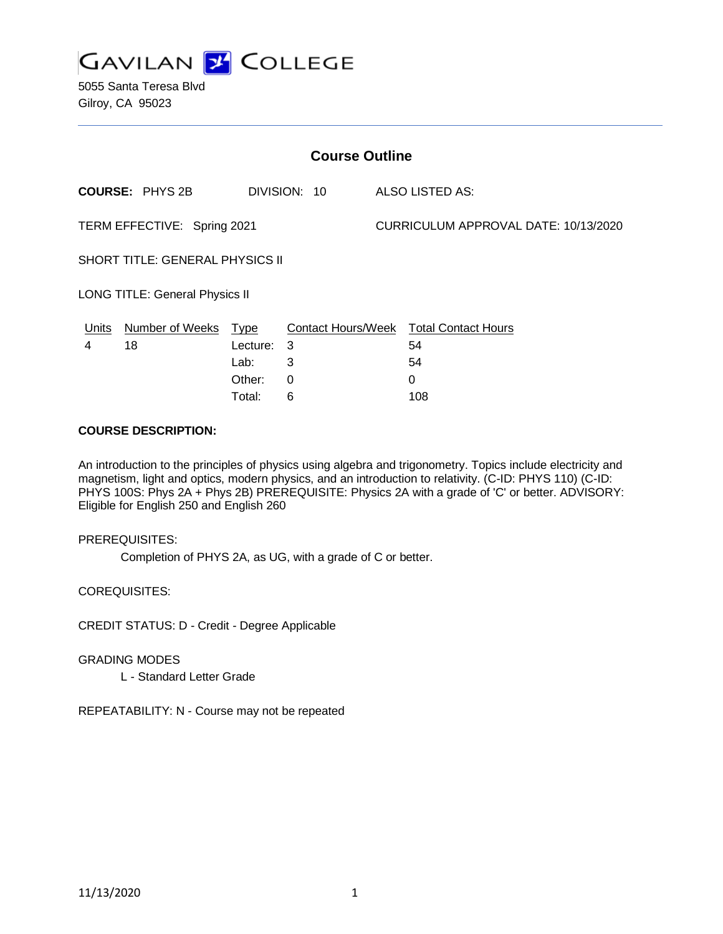

5055 Santa Teresa Blvd Gilroy, CA 95023

| <b>Course Outline</b>                  |                        |            |              |                                      |                                               |
|----------------------------------------|------------------------|------------|--------------|--------------------------------------|-----------------------------------------------|
|                                        | <b>COURSE: PHYS 2B</b> |            | DIVISION: 10 |                                      | ALSO LISTED AS:                               |
| TERM EFFECTIVE: Spring 2021            |                        |            |              | CURRICULUM APPROVAL DATE: 10/13/2020 |                                               |
| <b>SHORT TITLE: GENERAL PHYSICS II</b> |                        |            |              |                                      |                                               |
| <b>LONG TITLE: General Physics II</b>  |                        |            |              |                                      |                                               |
| <u>Units</u>                           | Number of Weeks Type   |            |              |                                      | <b>Contact Hours/Week Total Contact Hours</b> |
| 4                                      | 18                     | Lecture: 3 |              |                                      | 54                                            |
|                                        |                        | Lab:       | 3            |                                      | 54                                            |
|                                        |                        | Other:     | 0            |                                      | $\Omega$                                      |
|                                        |                        | Total:     | 6            |                                      | 108                                           |

## **COURSE DESCRIPTION:**

An introduction to the principles of physics using algebra and trigonometry. Topics include electricity and magnetism, light and optics, modern physics, and an introduction to relativity. (C-ID: PHYS 110) (C-ID: PHYS 100S: Phys 2A + Phys 2B) PREREQUISITE: Physics 2A with a grade of 'C' or better. ADVISORY: Eligible for English 250 and English 260

#### PREREQUISITES:

Completion of PHYS 2A, as UG, with a grade of C or better.

COREQUISITES:

CREDIT STATUS: D - Credit - Degree Applicable

GRADING MODES

L - Standard Letter Grade

REPEATABILITY: N - Course may not be repeated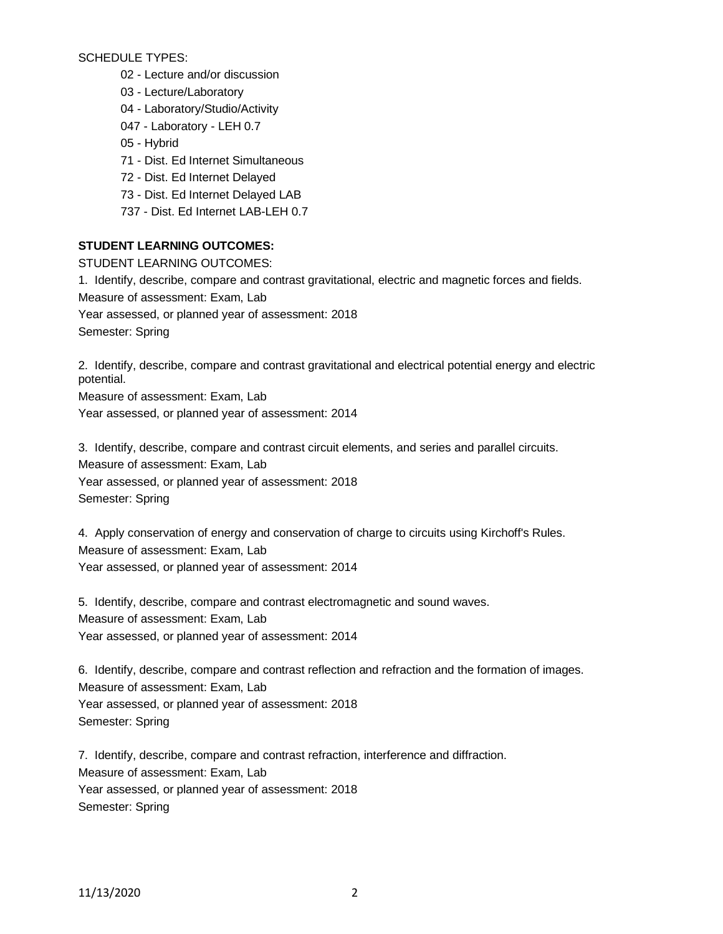SCHEDULE TYPES:

- 02 Lecture and/or discussion
- 03 Lecture/Laboratory
- 04 Laboratory/Studio/Activity
- 047 Laboratory LEH 0.7
- 05 Hybrid
- 71 Dist. Ed Internet Simultaneous
- 72 Dist. Ed Internet Delayed
- 73 Dist. Ed Internet Delayed LAB
- 737 Dist. Ed Internet LAB-LEH 0.7

### **STUDENT LEARNING OUTCOMES:**

STUDENT LEARNING OUTCOMES: 1. Identify, describe, compare and contrast gravitational, electric and magnetic forces and fields. Measure of assessment: Exam, Lab Year assessed, or planned year of assessment: 2018 Semester: Spring

2. Identify, describe, compare and contrast gravitational and electrical potential energy and electric potential.

Measure of assessment: Exam, Lab Year assessed, or planned year of assessment: 2014

3. Identify, describe, compare and contrast circuit elements, and series and parallel circuits. Measure of assessment: Exam, Lab Year assessed, or planned year of assessment: 2018 Semester: Spring

4. Apply conservation of energy and conservation of charge to circuits using Kirchoff's Rules. Measure of assessment: Exam, Lab Year assessed, or planned year of assessment: 2014

5. Identify, describe, compare and contrast electromagnetic and sound waves. Measure of assessment: Exam, Lab Year assessed, or planned year of assessment: 2014

6. Identify, describe, compare and contrast reflection and refraction and the formation of images. Measure of assessment: Exam, Lab Year assessed, or planned year of assessment: 2018 Semester: Spring

7. Identify, describe, compare and contrast refraction, interference and diffraction. Measure of assessment: Exam, Lab Year assessed, or planned year of assessment: 2018 Semester: Spring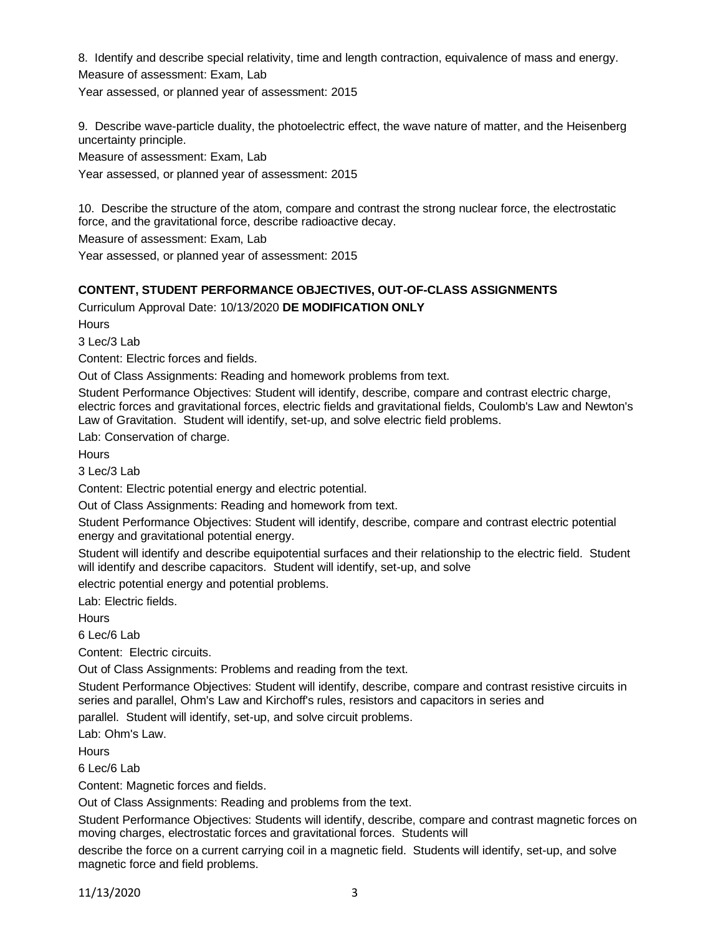8. Identify and describe special relativity, time and length contraction, equivalence of mass and energy. Measure of assessment: Exam, Lab

Year assessed, or planned year of assessment: 2015

9. Describe wave-particle duality, the photoelectric effect, the wave nature of matter, and the Heisenberg uncertainty principle.

Measure of assessment: Exam, Lab

Year assessed, or planned year of assessment: 2015

10. Describe the structure of the atom, compare and contrast the strong nuclear force, the electrostatic force, and the gravitational force, describe radioactive decay.

Measure of assessment: Exam, Lab

Year assessed, or planned year of assessment: 2015

### **CONTENT, STUDENT PERFORMANCE OBJECTIVES, OUT-OF-CLASS ASSIGNMENTS**

Curriculum Approval Date: 10/13/2020 **DE MODIFICATION ONLY**

**Hours** 

3 Lec/3 Lab

Content: Electric forces and fields.

Out of Class Assignments: Reading and homework problems from text.

Student Performance Objectives: Student will identify, describe, compare and contrast electric charge, electric forces and gravitational forces, electric fields and gravitational fields, Coulomb's Law and Newton's Law of Gravitation. Student will identify, set-up, and solve electric field problems.

Lab: Conservation of charge.

**Hours** 

 $3$  Lec/ $3$  Lab

Content: Electric potential energy and electric potential.

Out of Class Assignments: Reading and homework from text.

Student Performance Objectives: Student will identify, describe, compare and contrast electric potential energy and gravitational potential energy.

Student will identify and describe equipotential surfaces and their relationship to the electric field. Student will identify and describe capacitors. Student will identify, set-up, and solve

electric potential energy and potential problems.

Lab: Electric fields.

**Hours** 

6 Lec/6 Lab

Content: Electric circuits.

Out of Class Assignments: Problems and reading from the text.

Student Performance Objectives: Student will identify, describe, compare and contrast resistive circuits in series and parallel, Ohm's Law and Kirchoff's rules, resistors and capacitors in series and

parallel. Student will identify, set-up, and solve circuit problems.

Lab: Ohm's Law.

**Hours** 

6 Lec/6 Lab

Content: Magnetic forces and fields.

Out of Class Assignments: Reading and problems from the text.

Student Performance Objectives: Students will identify, describe, compare and contrast magnetic forces on moving charges, electrostatic forces and gravitational forces. Students will

describe the force on a current carrying coil in a magnetic field. Students will identify, set-up, and solve magnetic force and field problems.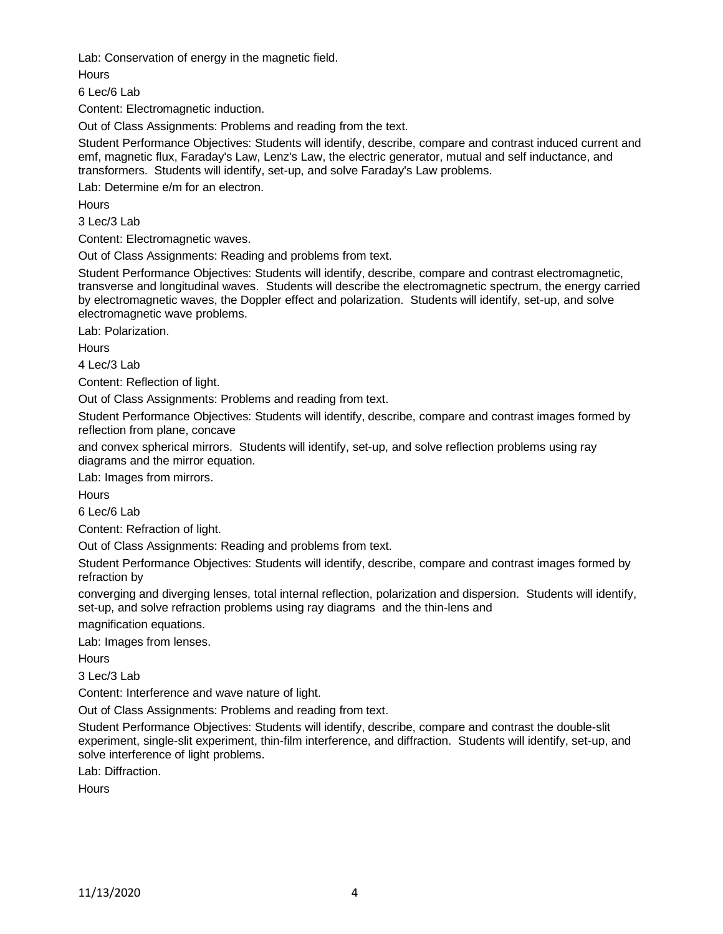Lab: Conservation of energy in the magnetic field.

**Hours** 

6 Lec/6 Lab

Content: Electromagnetic induction.

Out of Class Assignments: Problems and reading from the text.

Student Performance Objectives: Students will identify, describe, compare and contrast induced current and emf, magnetic flux, Faraday's Law, Lenz's Law, the electric generator, mutual and self inductance, and transformers. Students will identify, set-up, and solve Faraday's Law problems.

Lab: Determine e/m for an electron.

**Hours** 

3 Lec/3 Lab

Content: Electromagnetic waves.

Out of Class Assignments: Reading and problems from text.

Student Performance Objectives: Students will identify, describe, compare and contrast electromagnetic, transverse and longitudinal waves. Students will describe the electromagnetic spectrum, the energy carried by electromagnetic waves, the Doppler effect and polarization. Students will identify, set-up, and solve electromagnetic wave problems.

Lab: Polarization.

**Hours** 

4 Lec/3 Lab

Content: Reflection of light.

Out of Class Assignments: Problems and reading from text.

Student Performance Objectives: Students will identify, describe, compare and contrast images formed by reflection from plane, concave

and convex spherical mirrors. Students will identify, set-up, and solve reflection problems using ray diagrams and the mirror equation.

Lab: Images from mirrors.

**Hours** 

6 Lec/6 Lab

Content: Refraction of light.

Out of Class Assignments: Reading and problems from text.

Student Performance Objectives: Students will identify, describe, compare and contrast images formed by refraction by

converging and diverging lenses, total internal reflection, polarization and dispersion. Students will identify, set-up, and solve refraction problems using ray diagrams and the thin-lens and

magnification equations.

Lab: Images from lenses.

**Hours** 

3 Lec/3 Lab

Content: Interference and wave nature of light.

Out of Class Assignments: Problems and reading from text.

Student Performance Objectives: Students will identify, describe, compare and contrast the double-slit experiment, single-slit experiment, thin-film interference, and diffraction. Students will identify, set-up, and solve interference of light problems.

Lab: Diffraction.

**Hours**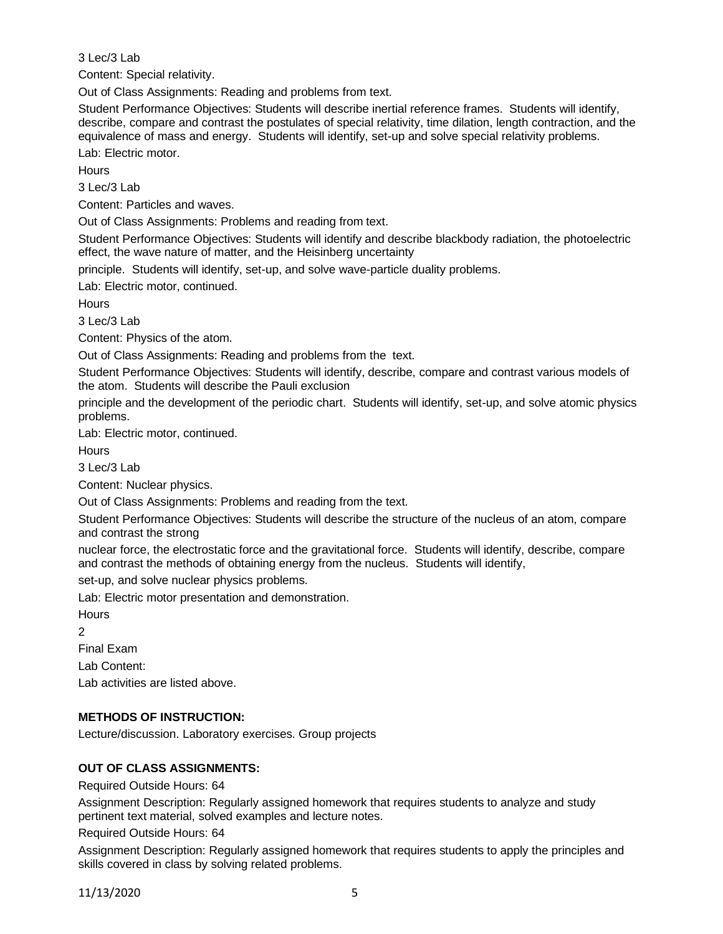3 Lec/3 Lab

Content: Special relativity.

Out of Class Assignments: Reading and problems from text.

Student Performance Objectives: Students will describe inertial reference frames. Students will identify, describe, compare and contrast the postulates of special relativity, time dilation, length contraction, and the equivalence of mass and energy. Students will identify, set-up and solve special relativity problems.

Lab: Electric motor.

**Hours** 

3 Lec/3 Lab

Content: Particles and waves.

Out of Class Assignments: Problems and reading from text.

Student Performance Objectives: Students will identify and describe blackbody radiation, the photoelectric effect, the wave nature of matter, and the Heisinberg uncertainty

principle. Students will identify, set-up, and solve wave-particle duality problems.

Lab: Electric motor, continued.

**Hours** 

 $3$  Lec/ $3$  Lab

Content: Physics of the atom.

Out of Class Assignments: Reading and problems from the text.

Student Performance Objectives: Students will identify, describe, compare and contrast various models of the atom. Students will describe the Pauli exclusion

principle and the development of the periodic chart. Students will identify, set-up, and solve atomic physics problems.

Lab: Electric motor, continued.

**Hours** 

3 Lec/3 Lab

Content: Nuclear physics.

Out of Class Assignments: Problems and reading from the text.

Student Performance Objectives: Students will describe the structure of the nucleus of an atom, compare and contrast the strong

nuclear force, the electrostatic force and the gravitational force. Students will identify, describe, compare and contrast the methods of obtaining energy from the nucleus. Students will identify,

set-up, and solve nuclear physics problems.

Lab: Electric motor presentation and demonstration.

**Hours** 

2

Final Exam

Lab Content:

Lab activities are listed above.

# **METHODS OF INSTRUCTION:**

Lecture/discussion. Laboratory exercises. Group projects

# **OUT OF CLASS ASSIGNMENTS:**

Required Outside Hours: 64

Assignment Description: Regularly assigned homework that requires students to analyze and study pertinent text material, solved examples and lecture notes.

Required Outside Hours: 64

Assignment Description: Regularly assigned homework that requires students to apply the principles and skills covered in class by solving related problems.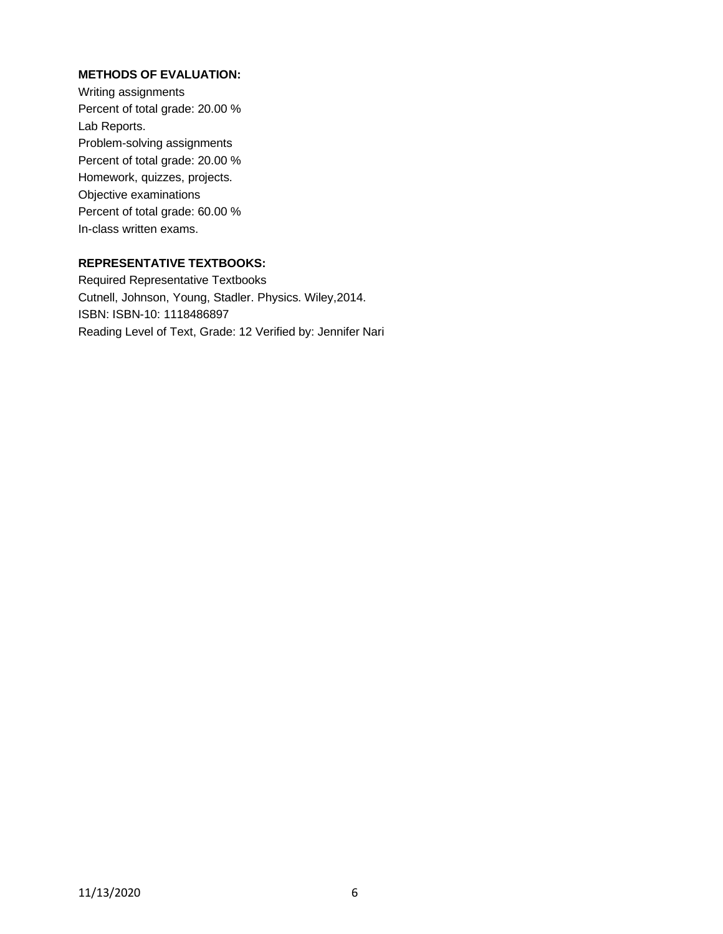### **METHODS OF EVALUATION:**

Writing assignments Percent of total grade: 20.00 % Lab Reports. Problem-solving assignments Percent of total grade: 20.00 % Homework, quizzes, projects. Objective examinations Percent of total grade: 60.00 % In-class written exams.

### **REPRESENTATIVE TEXTBOOKS:**

Required Representative Textbooks Cutnell, Johnson, Young, Stadler. Physics. Wiley,2014. ISBN: ISBN-10: 1118486897 Reading Level of Text, Grade: 12 Verified by: Jennifer Nari